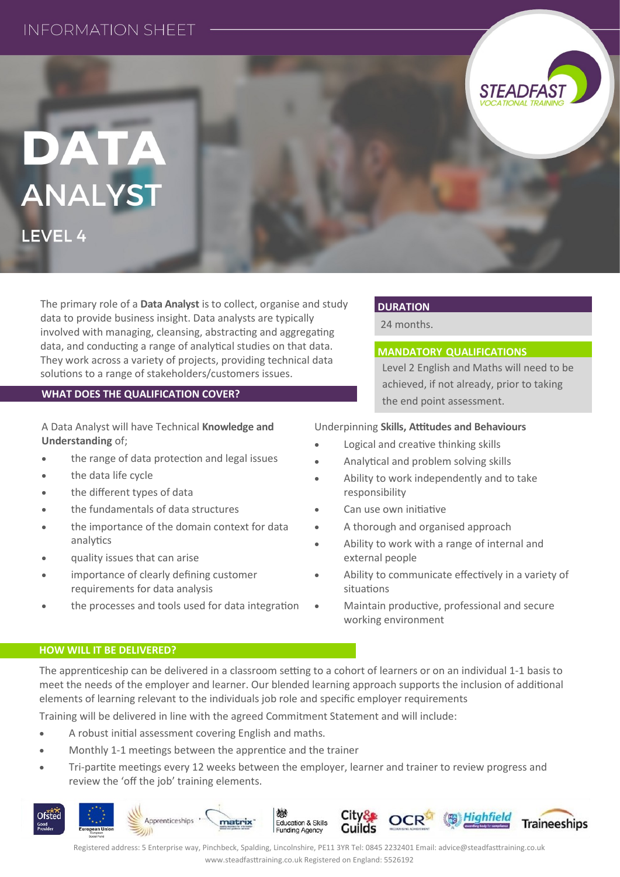## **INFORMATION SHEET**

# DATA **ANALYST**

LEVEL 4

The primary role of a **Data Analyst** is to collect, organise and study data to provide business insight. Data analysts are typically involved with managing, cleansing, abstracting and aggregating data, and conducting a range of analytical studies on that data. They work across a variety of projects, providing technical data solutions to a range of stakeholders/customers issues.

#### **WHAT DOES THE QUALIFICATION COVER?**

A Data Analyst will have Technical **Knowledge and Understanding** of;

- the range of data protection and legal issues
- the data life cycle
- the different types of data
- the fundamentals of data structures
- the importance of the domain context for data analytics
- quality issues that can arise
- importance of clearly defining customer requirements for data analysis
- the processes and tools used for data integration

#### **DURATION**

24 months.

#### **MANDATORY QUALIFICATIONS**

Level 2 English and Maths will need to be achieved, if not already, prior to taking the end point assessment.

**STEADFAS** 

#### Underpinning **Skills, Attitudes and Behaviours**

- Logical and creative thinking skills
- Analytical and problem solving skills
- Ability to work independently and to take responsibility
- Can use own initiative
- A thorough and organised approach
- Ability to work with a range of internal and external people
- Ability to communicate effectively in a variety of situations
- Maintain productive, professional and secure working environment

#### **HOW WILL IT BE DELIVERED?**

The apprenticeship can be delivered in a classroom setting to a cohort of learners or on an individual 1-1 basis to meet the needs of the employer and learner. Our blended learning approach supports the inclusion of additional elements of learning relevant to the individuals job role and specific employer requirements

Training will be delivered in line with the agreed Commitment Statement and will include:

- A robust initial assessment covering English and maths.
- Monthly 1-1 meetings between the apprentice and the trainer
- Tri-partite meetings every 12 weeks between the employer, learner and trainer to review progress and review the 'off the job' training elements.



Registered address: 5 Enterprise way, Pinchbeck, Spalding, Lincolnshire, PE11 3YR Tel: 0845 2232401 Email: advice@steadfasttraining.co.uk www.steadfasttraining.co.uk Registered on England: 5526192